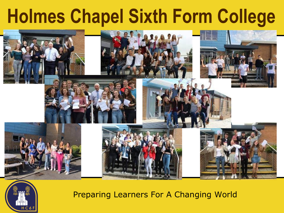# **Holmes Chapel Sixth Form College**



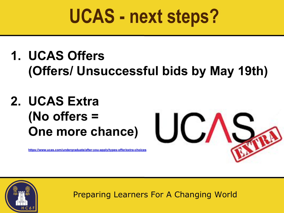### **1. UCAS Offers (Offers/ Unsuccessful bids by May 19th)**

### **2. UCAS Extra (No offers = One more chance)**

**<https://www.ucas.com/undergraduate/after-you-apply/types-offer/extra-choices>**



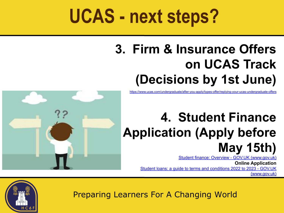### **3. Firm & Insurance Offers on UCAS Track (Decisions by 1st June)**

<https://www.ucas.com/undergraduate/after-you-apply/types-offer/replying-your-ucas-undergraduate-offers>

### **4. Student Finance Application (Apply before May 15th)**

[Student finance: Overview - GOV.UK \(](https://www.gov.uk/student-finance)[www.gov.uk](http://www.gov.uk)[\)](https://www.gov.uk/student-finance)

**Online Application** [Student loans: a guide to terms and conditions 2022 to 2023 - GOV.UK](https://www.gov.uk/government/publications/student-loans-a-guide-to-terms-and-conditions/student-loans-a-guide-to-terms-and-conditions-2022-to-2023) [\(](https://www.gov.uk/government/publications/student-loans-a-guide-to-terms-and-conditions/student-loans-a-guide-to-terms-and-conditions-2022-to-2023)[www.gov.uk](http://www.gov.uk)[\)](https://www.gov.uk/government/publications/student-loans-a-guide-to-terms-and-conditions/student-loans-a-guide-to-terms-and-conditions-2022-to-2023)



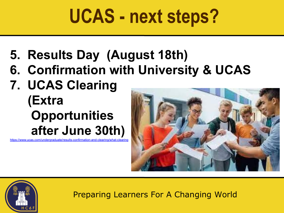- **5. Results Day (August 18th)**
- **6. Confirmation with University & UCAS**
- **7. UCAS Clearing (Extra Opportunities after June 30th)**

https://www.ucas.com/undergraduate/results-confirmation-and-clearing



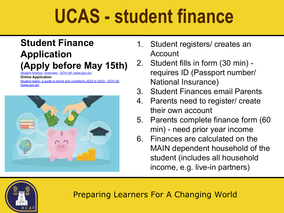# **UCAS - student finance**

### **Student Finance Application**

### **(Apply before May 15th)**

1t finance: Overview - GOV.UK ([www.gov.uk](http://www.gov.uk)[\)](https://www.gov.uk/student-finance)

**Online Application**

[Student loans: a guide to terms and conditions 2022 to 2023 - GOV.UK](https://www.gov.uk/government/publications/student-loans-a-guide-to-terms-and-conditions/student-loans-a-guide-to-terms-and-conditions-2022-to-2023) [\(](https://www.gov.uk/government/publications/student-loans-a-guide-to-terms-and-conditions/student-loans-a-guide-to-terms-and-conditions-2022-to-2023)[www.gov.uk](http://www.gov.uk)[\)](https://www.gov.uk/government/publications/student-loans-a-guide-to-terms-and-conditions/student-loans-a-guide-to-terms-and-conditions-2022-to-2023)



- 1. Student registers/ creates an Account
- 2. Student fills in form (30 min) requires ID (Passport number/ National Insurance)
- 3. Student Finances email Parents
- 4. Parents need to register/ create their own account
- 5. Parents complete finance form (60 min) - need prior year income
- 6. Finances are calculated on the MAIN dependent household of the student (includes all household income, e.g. live-in partners)

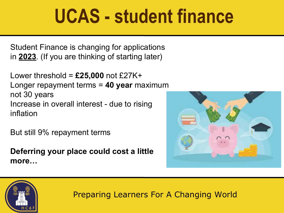## **UCAS - student finance**

Student Finance is changing for applications in **2023**. (If you are thinking of starting later)

Lower threshold = **£25,000** not £27K+ Longer repayment terms = **40 year** maximum not 30 years Increase in overall interest - due to rising inflation

But still 9% repayment terms

**Deferring your place could cost a little more…**



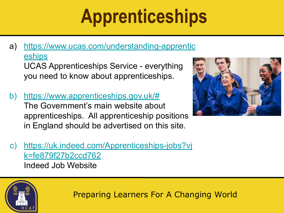# **Apprenticeships**

- a) [https://www.ucas.com/understanding-apprentic](https://www.ucas.com/understanding-apprenticeships) [eships](https://www.ucas.com/understanding-apprenticeships) UCAS Apprenticeships Service - everything you need to know about apprenticeships.
- b) <https://www.apprenticeships.gov.uk/#> The Government's main website about apprenticeships. All apprenticeship positions in England should be advertised on this site.



c) [https://uk.indeed.com/Apprenticeships-jobs?vj](https://uk.indeed.com/Apprenticeships-jobs?vjk=fe879f27b2ccd762) [k=fe879f27b2ccd762](https://uk.indeed.com/Apprenticeships-jobs?vjk=fe879f27b2ccd762) Indeed Job Website

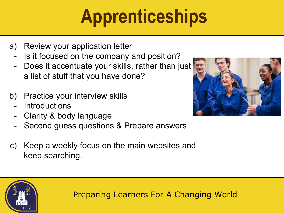# **Apprenticeships**

- a) Review your application letter
	- Is it focused on the company and position?
	- Does it accentuate your skills, rather than just a list of stuff that you have done?
- b) Practice your interview skills
	- **Introductions**
	- Clarity & body language
	- Second guess questions & Prepare answers
- c) Keep a weekly focus on the main websites and keep searching.



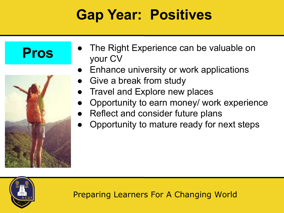### **Gap Year: Positives**

### **Pros**



- The Right Experience can be valuable on your CV
- Enhance university or work applications
- Give a break from study
- **Travel and Explore new places**
- Opportunity to earn money/ work experience
- Reflect and consider future plans
- Opportunity to mature ready for next steps

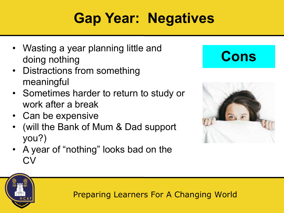### **Gap Year: Negatives**

- Wasting a year planning little and doing nothing
- Distractions from something meaningful
- Sometimes harder to return to study or work after a break
- Can be expensive
- (will the Bank of Mum & Dad support you?)
- A year of "nothing" looks bad on the CV

### **Cons**



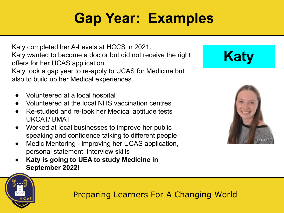### **Gap Year: Examples**

Katy completed her A-Levels at HCCS in 2021. Katy wanted to become a doctor but did not receive the right offers for her UCAS application.

Katy took a gap year to re-apply to UCAS for Medicine but also to build up her Medical experiences.

- Volunteered at a local hospital
- Volunteered at the local NHS vaccination centres
- Re-studied and re-took her Medical aptitude tests UKCAT/ BMAT
- Worked at local businesses to improve her public speaking and confidence talking to different people
- Medic Mentoring improving her UCAS application, personal statement, interview skills
- **● Katy is going to UEA to study Medicine in September 2022!**



**Katy**

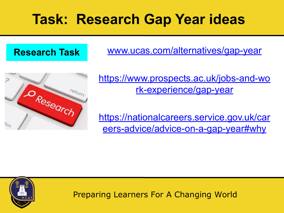### **Task: Research Gap Year ideas**

#### **Research Task**

[www.ucas.com/alternatives/gap-year](http://www.ucas.com/alternatives/gap-year)



[https://www.prospects.ac.uk/jobs-and-wo](https://www.prospects.ac.uk/jobs-and-work-experience/gap-year) [rk-experience/gap-year](https://www.prospects.ac.uk/jobs-and-work-experience/gap-year)

[https://nationalcareers.service.gov.uk/car](https://nationalcareers.service.gov.uk/careers-advice/advice-on-a-gap-year#why) [eers-advice/advice-on-a-gap-year#why](https://nationalcareers.service.gov.uk/careers-advice/advice-on-a-gap-year#why)

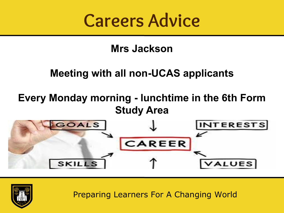

#### **Mrs Jackson**

### **Meeting with all non-UCAS applicants**

#### **Every Monday morning - lunchtime in the 6th Form Study Area**



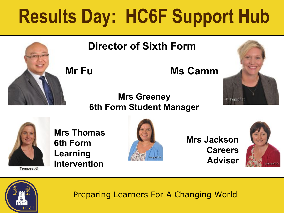# **Results Day: HC6F Support Hub**



#### **Director of Sixth Form**

Mr Fu **Ms Camm** 

#### **Mrs Greeney 6th Form Student Manager**





Tempest<sup>©</sup>

**Mrs Thomas 6th Form Learning Intervention**



**Mrs Jackson Careers Adviser**



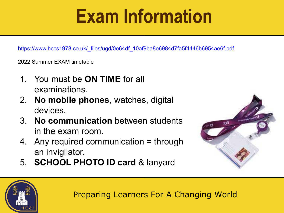# **Exam Information**

[https://www.hccs1978.co.uk/\\_files/ugd/0e64df\\_10af9ba8e6984d7fa5f4446b6954ae6f.pdf](https://www.hccs1978.co.uk/_files/ugd/0e64df_10af9ba8e6984d7fa5f4446b6954ae6f.pdf)

2022 Summer EXAM timetable

- 1. You must be **ON TIME** for all examinations.
- 2. **No mobile phones**, watches, digital devices.
- 3. **No communication** between students in the exam room.
- 4. Any required communication = through an invigilator.
- 5. **SCHOOL PHOTO ID card** & lanyard